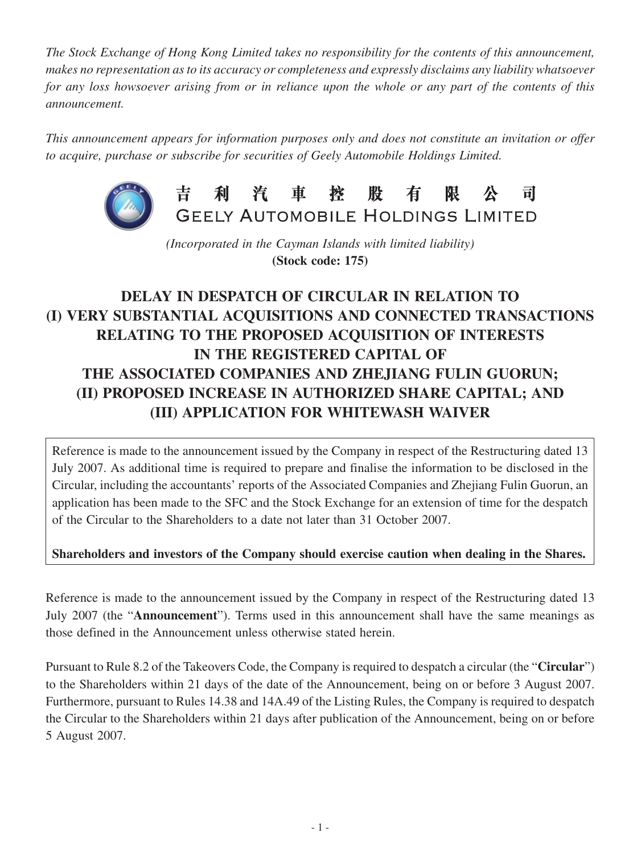*The Stock Exchange of Hong Kong Limited takes no responsibility for the contents of this announcement, makes no representation as to its accuracy or completeness and expressly disclaims any liability whatsoever for any loss howsoever arising from or in reliance upon the whole or any part of the contents of this announcement.*

*This announcement appears for information purposes only and does not constitute an invitation or offer to acquire, purchase or subscribe for securities of Geely Automobile Holdings Limited.*



吉利汽車控股有 限公 司 GEELY AUTOMOBILE HOLDINGS LIMITED

*(Incorporated in the Cayman Islands with limited liability)* **(Stock code: 175)**

## **DELAY IN DESPATCH OF CIRCULAR IN RELATION TO (I) VERY SUBSTANTIAL ACQUISITIONS AND CONNECTED TRANSACTIONS RELATING TO THE PROPOSED ACQUISITION OF INTERESTS IN THE REGISTERED CAPITAL OF THE ASSOCIATED COMPANIES AND ZHEJIANG FULIN GUORUN; (II) PROPOSED INCREASE IN AUTHORIZED SHARE CAPITAL; AND (III) APPLICATION FOR WHITEWASH WAIVER**

Reference is made to the announcement issued by the Company in respect of the Restructuring dated 13 July 2007. As additional time is required to prepare and finalise the information to be disclosed in the Circular, including the accountants' reports of the Associated Companies and Zhejiang Fulin Guorun, an application has been made to the SFC and the Stock Exchange for an extension of time for the despatch of the Circular to the Shareholders to a date not later than 31 October 2007.

## **Shareholders and investors of the Company should exercise caution when dealing in the Shares.**

Reference is made to the announcement issued by the Company in respect of the Restructuring dated 13 July 2007 (the "**Announcement**"). Terms used in this announcement shall have the same meanings as those defined in the Announcement unless otherwise stated herein.

Pursuant to Rule 8.2 of the Takeovers Code, the Company is required to despatch a circular (the "**Circular**") to the Shareholders within 21 days of the date of the Announcement, being on or before 3 August 2007. Furthermore, pursuant to Rules 14.38 and 14A.49 of the Listing Rules, the Company is required to despatch the Circular to the Shareholders within 21 days after publication of the Announcement, being on or before 5 August 2007.